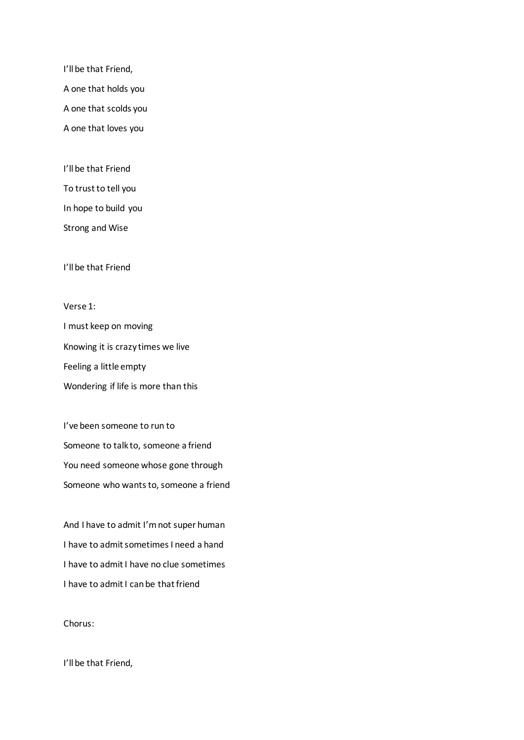I'll be that Friend, A one that holds you A one that scolds you A one that loves you

I'll be that Friend To trust to tell you In hope to build you Strong and Wise

I'll be that Friend

Verse 1: I must keep on moving Knowing it is crazy times we live Feeling a little empty Wondering if life is more than this

I've been someone to run to Someone to talk to, someone a friend You need someone whose gone through Someone who wants to, someone a friend

And I have to admit I'm not super human I have to admit sometimes I need a hand I have to admit I have no clue sometimes I have to admit I can be that friend

Chorus:

I'll be that Friend,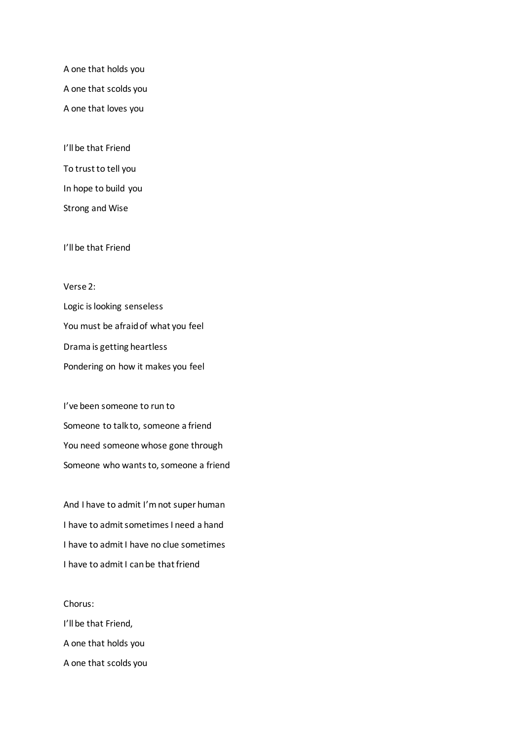A one that holds you A one that scolds you A one that loves you

I'll be that Friend To trust to tell you In hope to build you Strong and Wise

I'll be that Friend

## Verse 2:

Logic is looking senseless You must be afraid of what you feel Drama is getting heartless Pondering on how it makes you feel

I've been someone to run to Someone to talk to, someone a friend You need someone whose gone through Someone who wants to, someone a friend

And I have to admit I'm not super human I have to admit sometimes I need a hand I have to admit I have no clue sometimes I have to admit I can be that friend

Chorus: I'll be that Friend, A one that holds you A one that scolds you